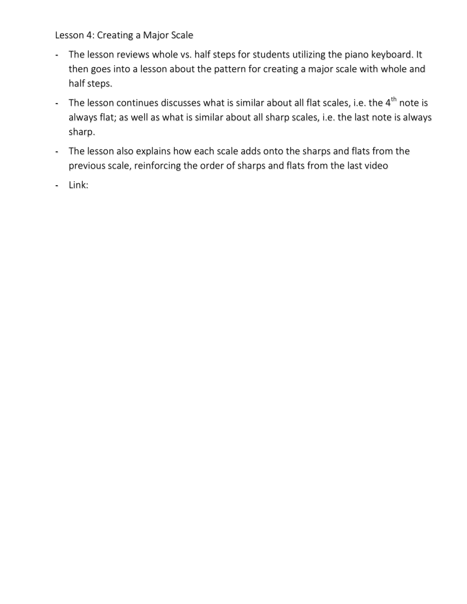Lesson 4: Creating a Major Scale

- The lesson reviews whole vs. half steps for students utilizing the piano keyboard. It then goes into a lesson about the pattern for creating a major scale with whole and half steps.
- The lesson continues discusses what is similar about all flat scales, i.e. the  $4<sup>th</sup>$  note is always flat; as well as what is similar about all sharp scales, i.e. the last note is always sharp.
- The lesson also explains how each scale adds onto the sharps and flats from the previous scale, reinforcing the order of sharps and flats from the last video
- Link: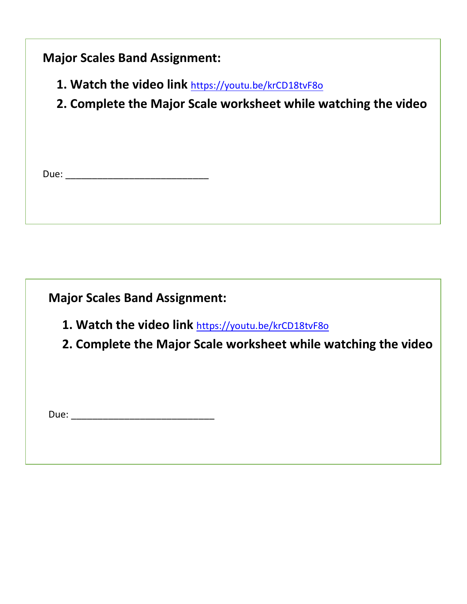## **Major Scales Band Assignment:**

- 1. Watch the video link https://youtu.be/krCD18tvF8o
- **2. Complete the Major Scale worksheet while watching the video**

| __ |
|----|
|----|

**Major Scales Band Assignment:** 

- 1. Watch the video link https://youtu.be/krCD18tvF8o
- **2. Complete the Major Scale worksheet while watching the video**

Due: \_\_\_\_\_\_\_\_\_\_\_\_\_\_\_\_\_\_\_\_\_\_\_\_\_\_\_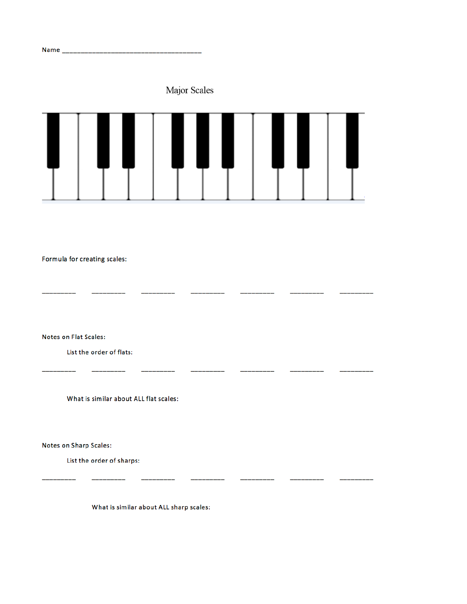Major Scales



\_\_\_\_\_\_\_\_\_\_\_\_\_\_\_\_\_\_

Į,

--------

 $\overline{\phantom{0}}$ 

\_\_\_\_\_\_\_\_\_\_

\_\_\_\_\_\_

 $\overline{\phantom{0}}$ 

 $\overline{a}$ 

 $\overline{\phantom{0}}$ 

 $\overline{\phantom{a}}$ 

Formula for creating scales:

**Notes on Flat Scales:** 

List the order of flats:

What is similar about ALL flat scales:

————

Notes on Sharp Scales:

List the order of sharps:

What is similar about ALL sharp scales:

\_\_\_\_\_\_\_\_\_

 $\overline{\phantom{0}}$ 

 $\overline{\phantom{a}}$